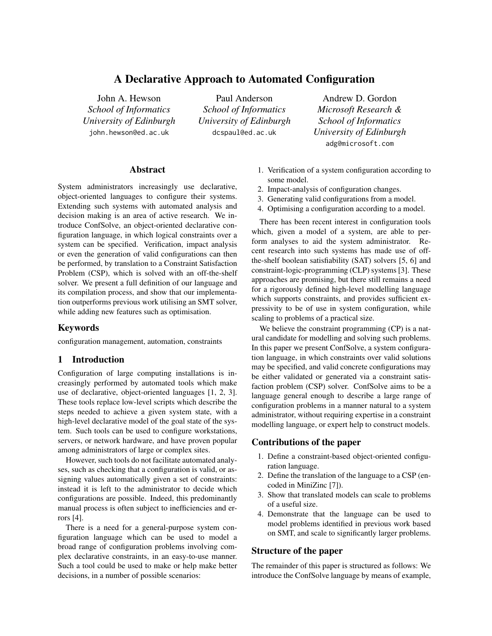# A Declarative Approach to Automated Configuration

John A. Hewson *School of Informatics University of Edinburgh* <john.hewson@ed.ac.uk>

Paul Anderson *School of Informatics University of Edinburgh* <dcspaul@ed.ac.uk>

Andrew D. Gordon *Microsoft Research & School of Informatics University of Edinburgh* <adg@microsoft.com>

### Abstract

System administrators increasingly use declarative, object-oriented languages to configure their systems. Extending such systems with automated analysis and decision making is an area of active research. We introduce ConfSolve, an object-oriented declarative configuration language, in which logical constraints over a system can be specified. Verification, impact analysis or even the generation of valid configurations can then be performed, by translation to a Constraint Satisfaction Problem (CSP), which is solved with an off-the-shelf solver. We present a full definition of our language and its compilation process, and show that our implementation outperforms previous work utilising an SMT solver, while adding new features such as optimisation.

## Keywords

configuration management, automation, constraints

## 1 Introduction

Configuration of large computing installations is increasingly performed by automated tools which make use of declarative, object-oriented languages [\[1,](#page-14-0) [2,](#page-14-1) [3\]](#page-15-0). These tools replace low-level scripts which describe the steps needed to achieve a given system state, with a high-level declarative model of the goal state of the system. Such tools can be used to configure workstations, servers, or network hardware, and have proven popular among administrators of large or complex sites.

However, such tools do not facilitate automated analyses, such as checking that a configuration is valid, or assigning values automatically given a set of constraints: instead it is left to the administrator to decide which configurations are possible. Indeed, this predominantly manual process is often subject to inefficiencies and errors [\[4\]](#page-15-1).

There is a need for a general-purpose system configuration language which can be used to model a broad range of configuration problems involving complex declarative constraints, in an easy-to-use manner. Such a tool could be used to make or help make better decisions, in a number of possible scenarios:

- 1. Verification of a system configuration according to some model.
- 2. Impact-analysis of configuration changes.
- 3. Generating valid configurations from a model.
- 4. Optimising a configuration according to a model.

There has been recent interest in configuration tools which, given a model of a system, are able to perform analyses to aid the system administrator. Recent research into such systems has made use of offthe-shelf boolean satisfiability (SAT) solvers [\[5,](#page-15-2) [6\]](#page-15-3) and constraint-logic-programming (CLP) systems [\[3\]](#page-15-0). These approaches are promising, but there still remains a need for a rigorously defined high-level modelling language which supports constraints, and provides sufficient expressivity to be of use in system configuration, while scaling to problems of a practical size.

We believe the constraint programming (CP) is a natural candidate for modelling and solving such problems. In this paper we present ConfSolve, a system configuration language, in which constraints over valid solutions may be specified, and valid concrete configurations may be either validated or generated via a constraint satisfaction problem (CSP) solver. ConfSolve aims to be a language general enough to describe a large range of configuration problems in a manner natural to a system administrator, without requiring expertise in a constraint modelling language, or expert help to construct models.

## Contributions of the paper

- 1. Define a constraint-based object-oriented configuration language.
- 2. Define the translation of the language to a CSP (encoded in MiniZinc [\[7\]](#page-15-4)).
- 3. Show that translated models can scale to problems of a useful size.
- 4. Demonstrate that the language can be used to model problems identified in previous work based on SMT, and scale to significantly larger problems.

## Structure of the paper

The remainder of this paper is structured as follows: We introduce the ConfSolve language by means of example,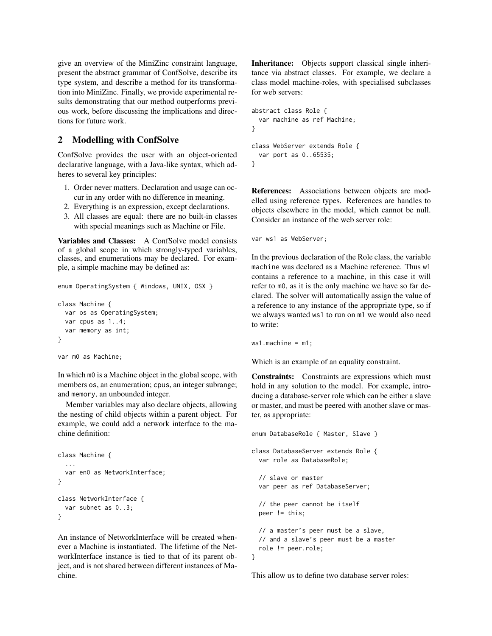give an overview of the MiniZinc constraint language, present the abstract grammar of ConfSolve, describe its type system, and describe a method for its transformation into MiniZinc. Finally, we provide experimental results demonstrating that our method outperforms previous work, before discussing the implications and directions for future work.

## <span id="page-1-0"></span>2 Modelling with ConfSolve

ConfSolve provides the user with an object-oriented declarative language, with a Java-like syntax, which adheres to several key principles:

- 1. Order never matters. Declaration and usage can occur in any order with no difference in meaning.
- 2. Everything is an expression, except declarations.
- 3. All classes are equal: there are no built-in classes with special meanings such as Machine or File.

Variables and Classes: A ConfSolve model consists of a global scope in which strongly-typed variables, classes, and enumerations may be declared. For example, a simple machine may be defined as:

```
enum OperatingSystem { Windows, UNIX, OSX }
class Machine {
```

```
var os as OperatingSystem;
 var cpus as 1..4;
 var memory as int;
}
```

```
var m0 as Machine;
```
In which m0 is a Machine object in the global scope, with members os, an enumeration; cpus, an integer subrange; and memory, an unbounded integer.

Member variables may also declare objects, allowing the nesting of child objects within a parent object. For example, we could add a network interface to the machine definition:

```
class Machine {
  ...
 var en0 as NetworkInterface;
}
class NetworkInterface {
 var subnet as 0..3;
}
```
An instance of NetworkInterface will be created whenever a Machine is instantiated. The lifetime of the NetworkInterface instance is tied to that of its parent object, and is not shared between different instances of Machine.

Inheritance: Objects support classical single inheritance via abstract classes. For example, we declare a class model machine-roles, with specialised subclasses for web servers:

```
abstract class Role {
  var machine as ref Machine;
}
class WebServer extends Role {
  var port as 0..65535;
}
```
References: Associations between objects are modelled using reference types. References are handles to objects elsewhere in the model, which cannot be null. Consider an instance of the web server role:

```
var ws1 as WebServer;
```
In the previous declaration of the Role class, the variable machine was declared as a Machine reference. Thus w1 contains a reference to a machine, in this case it will refer to m0, as it is the only machine we have so far declared. The solver will automatically assign the value of a reference to any instance of the appropriate type, so if we always wanted ws1 to run on m1 we would also need to write:

 $ws1.machine = m1;$ 

Which is an example of an equality constraint.

Constraints: Constraints are expressions which must hold in any solution to the model. For example, introducing a database-server role which can be either a slave or master, and must be peered with another slave or master, as appropriate:

```
enum DatabaseRole { Master, Slave }
class DatabaseServer extends Role {
  var role as DatabaseRole;
  // slave or master
  var peer as ref DatabaseServer;
  // the peer cannot be itself
  peer != this;
  // a master's peer must be a slave,
  // and a slave's peer must be a master
  role != peer.role;
}
```
This allow us to define two database server roles: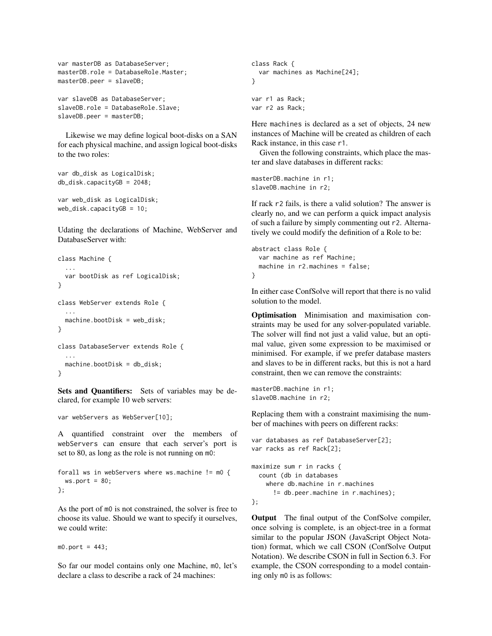```
var masterDB as DatabaseServer;
masterDB.role = DatabaseRole.Master;
masterDB.peer = slaveDB;
var slaveDB as DatabaseServer;
```

```
slaveDB.role = DatabaseRole.Slave;
slaveDB.peer = masterDB;
```
Likewise we may define logical boot-disks on a SAN for each physical machine, and assign logical boot-disks to the two roles:

```
var db_disk as LogicalDisk;
db_disk.capacityGB = 2048;
```

```
var web_disk as LogicalDisk;
web_disk.capacityGB = 10;
```
Udating the declarations of Machine, WebServer and DatabaseServer with:

```
class Machine {
 var bootDisk as ref LogicalDisk;
}
class WebServer extends Role {
  ...
 machine.bootDisk = web_disk;
}
class DatabaseServer extends Role {
  ...
 machine.bootDisk = db_disk;
}
```
Sets and Quantifiers: Sets of variables may be declared, for example 10 web servers:

```
var webServers as WebServer[10];
```
A quantified constraint over the members of webServers can ensure that each server's port is set to 80, as long as the role is not running on m0:

```
forall ws in webServers where ws.machine != m0 {
 ws.port = 80;};
```
As the port of m0 is not constrained, the solver is free to choose its value. Should we want to specify it ourselves, we could write:

 $m0.$ port = 443;

So far our model contains only one Machine, m0, let's declare a class to describe a rack of 24 machines:

```
class Rack {
  var machines as Machine[24];
}
var r1 as Rack;
var r2 as Rack;
```
Here machines is declared as a set of objects, 24 new instances of Machine will be created as children of each Rack instance, in this case r1.

Given the following constraints, which place the master and slave databases in different racks:

masterDB.machine in r1; slaveDB.machine in r2;

If rack r2 fails, is there a valid solution? The answer is clearly no, and we can perform a quick impact analysis of such a failure by simply commenting out r2. Alternatively we could modify the definition of a Role to be:

```
abstract class Role {
  var machine as ref Machine;
  machine in r2.machines = false;
}
```
In either case ConfSolve will report that there is no valid solution to the model.

Optimisation Minimisation and maximisation constraints may be used for any solver-populated variable. The solver will find not just a valid value, but an optimal value, given some expression to be maximised or minimised. For example, if we prefer database masters and slaves to be in different racks, but this is not a hard constraint, then we can remove the constraints:

```
masterDB.machine in r1;
slaveDB.machine in r2;
```
Replacing them with a constraint maximising the number of machines with peers on different racks:

```
var databases as ref DatabaseServer[2];
var racks as ref Rack[2];
maximize sum r in racks {
  count (db in databases
    where db.machine in r.machines
      != db.peer.machine in r.machines);
};
```
Output The final output of the ConfSolve compiler, once solving is complete, is an object-tree in a format similar to the popular JSON (JavaScript Object Notation) format, which we call CSON (ConfSolve Output Notation). We describe CSON in full in Section [6.3.](#page-12-0) For example, the CSON corresponding to a model containing only m0 is as follows: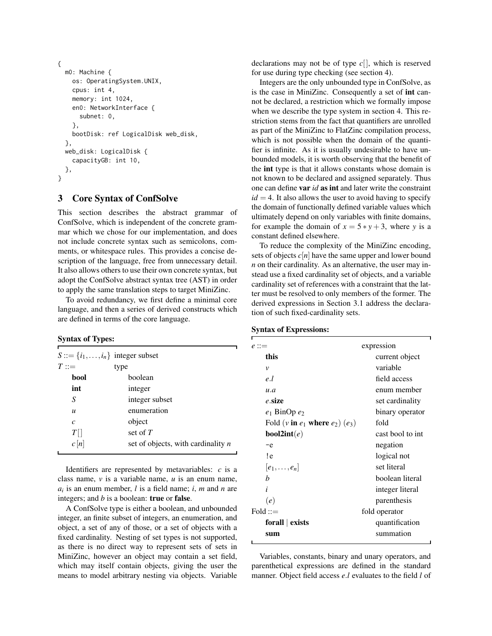```
{
  m0: Machine {
    os: OperatingSystem.UNIX,
    cpus: int 4,
    memory: int 1024,
    en0: NetworkInterface {
      subnet: 0,
    },
    bootDisk: ref LogicalDisk web_disk,
  },
 web_disk: LogicalDisk {
    capacityGB: int 10,
  },
}
```
## <span id="page-3-0"></span>3 Core Syntax of ConfSolve

This section describes the abstract grammar of ConfSolve, which is independent of the concrete grammar which we chose for our implementation, and does not include concrete syntax such as semicolons, comments, or whitespace rules. This provides a concise description of the language, free from unnecessary detail. It also allows others to use their own concrete syntax, but adopt the ConfSolve abstract syntax tree (AST) in order to apply the same translation steps to target MiniZinc.

To avoid redundancy, we first define a minimal core language, and then a series of derived constructs which are defined in terms of the core language.

### Syntax of Types:

|                  | $S ::= \{i_1, \ldots, i_n\}$ integer subset |
|------------------|---------------------------------------------|
| $T ::=$          | type                                        |
| bool             | boolean                                     |
| int              | integer                                     |
| S                | integer subset                              |
| $\boldsymbol{u}$ | enumeration                                 |
| $\mathcal{C}$    | object                                      |
| $T\Box$          | set of $T$                                  |
| c n              | set of objects, with cardinality $n$        |
|                  |                                             |

Identifiers are represented by metavariables: *c* is a class name, *v* is a variable name, *u* is an enum name, *ai* is an enum member, *l* is a field name; *i*, *m* and *n* are integers; and *b* is a boolean: true or false.

A ConfSolve type is either a boolean, and unbounded integer, an finite subset of integers, an enumeration, and object, a set of any of those, or a set of objects with a fixed cardinality. Nesting of set types is not supported, as there is no direct way to represent sets of sets in MiniZinc, however an object may contain a set field, which may itself contain objects, giving the user the means to model arbitrary nesting via objects. Variable declarations may not be of type *c*[], which is reserved for use during type checking (see section [4\)](#page-5-0).

Integers are the only unbounded type in ConfSolve, as is the case in MiniZinc. Consequently a set of int cannot be declared, a restriction which we formally impose when we describe the type system in section [4.](#page-5-0) This restriction stems from the fact that quantifiers are unrolled as part of the MiniZinc to FlatZinc compilation process, which is not possible when the domain of the quantifier is infinite. As it is usually undesirable to have unbounded models, it is worth observing that the benefit of the int type is that it allows constants whose domain is not known to be declared and assigned separately. Thus one can define var *id* as int and later write the constraint  $id = 4$ . It also allows the user to avoid having to specify the domain of functionally defined variable values which ultimately depend on only variables with finite domains, for example the domain of  $x = 5 * y + 3$ , where *y* is a constant defined elsewhere.

To reduce the complexity of the MiniZinc encoding, sets of objects  $c[n]$  have the same upper and lower bound *n* on their cardinality. As an alternative, the user may instead use a fixed cardinality set of objects, and a variable cardinality set of references with a constraint that the latter must be resolved to only members of the former. The derived expressions in Section [3.1](#page-4-0) address the declaration of such fixed-cardinality sets.

#### Syntax of Expressions:

| $e ::=$                                | expression       |
|----------------------------------------|------------------|
| this                                   | current object   |
| $\mathcal V$                           | variable         |
| e.l                                    | field access     |
| u.a                                    | enum member      |
| e.size                                 | set cardinality  |
| $e_1$ BinOp $e_2$                      | binary operator  |
| Fold (v in $e_1$ where $e_2$ ) $(e_3)$ | fold             |
| <b>bool2int</b> $(e)$                  | cast bool to int |
| $-e$                                   | negation         |
| !e                                     | logical not      |
| $[e_1,\ldots,e_n]$                     | set literal      |
| b                                      | boolean literal  |
| i                                      | integer literal  |
| (e)                                    | parenthesis      |
| $Fold ::=$                             | fold operator    |
| forall $\vert$ exists                  | quantification   |
| sum                                    | summation        |
|                                        |                  |

Variables, constants, binary and unary operators, and parenthetical expressions are defined in the standard manner. Object field access *e*.*l* evaluates to the field *l* of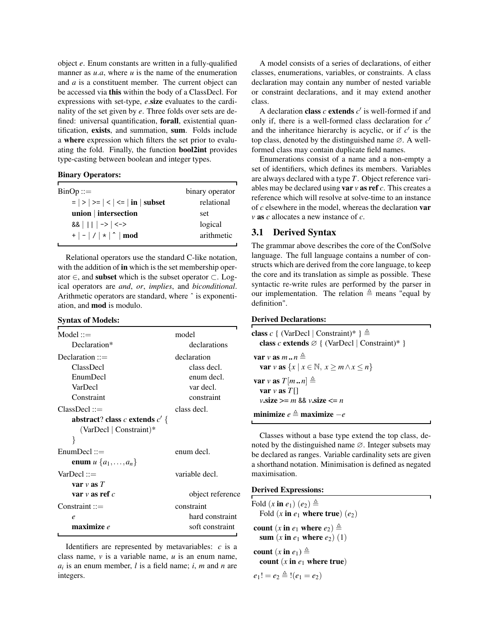object *e*. Enum constants are written in a fully-qualified manner as *u.a*, where *u* is the name of the enumeration and *a* is a constituent member. The current object can be accessed via this within the body of a ClassDecl. For expressions with set-type, *e*.size evaluates to the cardinality of the set given by *e*. Three folds over sets are defined: universal quantification, forall, existential quantification, exists, and summation, sum. Folds include a where expression which filters the set prior to evaluating the fold. Finally, the function bool2int provides type-casting between boolean and integer types.

### Binary Operators:

| $BinOp ::=$                             | binary operator |
|-----------------------------------------|-----------------|
| $=$   >   > =   <   < $=$   in   subset | relational      |
| union   intersection                    | set             |
| $88$         ->   <->                   | logical         |
| $+$   -   /   *   ^   mod               | arithmetic      |
|                                         |                 |

Relational operators use the standard C-like notation, with the addition of **in** which is the set membership operator ∈, and subset which is the subset operator ⊂. Logical operators are *and*, *or*, *implies*, and *biconditional*. Arithmetic operators are standard, where ˆ is exponentiation, and mod is modulo.

### Syntax of Models:

| $Model ::=$                      | model            |
|----------------------------------|------------------|
| Declaration*                     | declarations     |
| Declaration $ ::=$               | declaration      |
| ClassDecl                        | class decl.      |
| EnumDecl                         | enum decl.       |
| VarDecl                          | var decl.        |
| Constraint                       | constraint       |
| $ClassDec1 ::=$                  | class decl.      |
| abstract? class c extends $c'$ { |                  |
| (VarDecl   Constraint)*          |                  |
| ł                                |                  |
| $EnumDecl ::=$                   | enum decl.       |
| enum $u \{a_1, \ldots, a_n\}$    |                  |
| $VarDecl ::=$                    | variable decl.   |
| var $\nu$ as $T$                 |                  |
| var $v$ as ref $c$               | object reference |
| $Constant ::=$                   | constraint       |
| e                                | hard constraint  |
| maximize e                       | soft constraint  |

Identifiers are represented by metavariables: *c* is a class name, *v* is a variable name, *u* is an enum name, *ai* is an enum member, *l* is a field name; *i*, *m* and *n* are integers.

A model consists of a series of declarations, of either classes, enumerations, variables, or constraints. A class declaration may contain any number of nested variable or constraint declarations, and it may extend another class.

A declaration **class**  $c$  **extends**  $c'$  is well-formed if and only if, there is a well-formed class declaration for  $c'$ and the inheritance hierarchy is acyclic, or if  $c'$  is the top class, denoted by the distinguished name ∅. A wellformed class may contain duplicate field names.

Enumerations consist of a name and a non-empty a set of identifiers, which defines its members. Variables are always declared with a type *T*. Object reference variables may be declared using **var**  $\nu$  **as ref**  $c$ . This creates a reference which will resolve at solve-time to an instance of *c* elsewhere in the model, whereas the declaration var *v* as *c* allocates a new instance of *c*.

### <span id="page-4-0"></span>3.1 Derived Syntax

The grammar above describes the core of the ConfSolve language. The full language contains a number of constructs which are derived from the core language, to keep the core and its translation as simple as possible. These syntactic re-write rules are performed by the parser in our implementation. The relation  $\triangleq$  means "equal by definition".

### Derived Declarations:

| <b>class</b> c { (VarDecl   Constraint)* } $\triangleq$<br>class c extends $\varnothing$ { (VarDecl   Constraint)* } |  |
|----------------------------------------------------------------------------------------------------------------------|--|
| var v as $m \cdot n \triangleq$<br>var v as $\{x \mid x \in \mathbb{N}, x \ge m \land x \le n\}$                     |  |
| var v as $T[mn] \triangleq$<br>var $\nu$ as $T[\cdot]$<br>$v.\text{size} \ge m \&& v.\text{size} \le n$              |  |
| minimize $e \triangleq$ maximize $-e$                                                                                |  |

Classes without a base type extend the top class, denoted by the distinguished name ∅. Integer subsets may be declared as ranges. Variable cardinality sets are given a shorthand notation. Minimisation is defined as negated maximisation.

### Derived Expressions:

Fold  $(x \text{ in } e_1)$   $(e_2) \triangleq$ Fold  $(x \text{ in } e_1 \text{ where true})$   $(e_2)$ count  $(x \text{ in } e_1 \text{ where } e_2) \triangleq$ sum  $(x \text{ in } e_1 \text{ where } e_2)$  (1) count  $(x \text{ in } e_1) \triangleq$ count  $(x \in e_1)$  where true)

$$
e_1! = e_2 \triangleq !(e_1 = e_2)
$$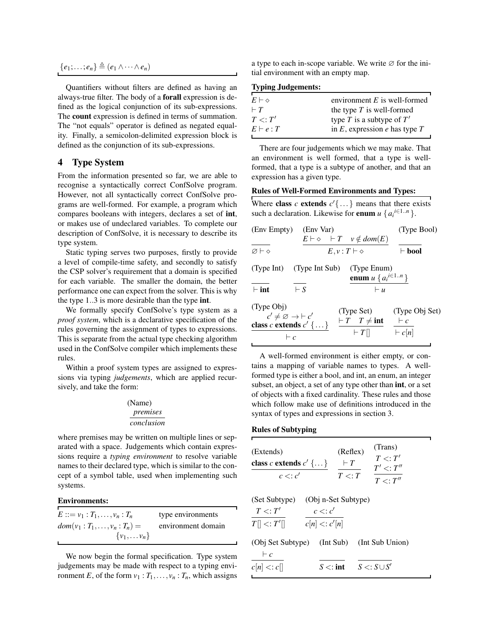$$
\{e_1;\ldots;e_n\}\triangleq(e_1\wedge\cdots\wedge e_n)
$$

Quantifiers without filters are defined as having an always-true filter. The body of a forall expression is defined as the logical conjunction of its sub-expressions. The count expression is defined in terms of summation. The "not equals" operator is defined as negated equality. Finally, a semicolon-delimited expression block is defined as the conjunction of its sub-expressions.

## <span id="page-5-0"></span>4 Type System

From the information presented so far, we are able to recognise a syntactically correct ConfSolve program. However, not all syntactically correct ConfSolve programs are well-formed. For example, a program which compares booleans with integers, declares a set of int, or makes use of undeclared variables. To complete our description of ConfSolve, it is necessary to describe its type system.

Static typing serves two purposes, firstly to provide a level of compile-time safety, and secondly to satisfy the CSP solver's requirement that a domain is specified for each variable. The smaller the domain, the better performance one can expect from the solver. This is why the type 1..3 is more desirable than the type int.

We formally specify ConfSolve's type system as a *proof system*, which is a declarative specification of the rules governing the assignment of types to expressions. This is separate from the actual type checking algorithm used in the ConfSolve compiler which implements these rules.

Within a proof system types are assigned to expressions via typing *judgements*, which are applied recursively, and take the form:

## (Name) *premises conclusion*

where premises may be written on multiple lines or separated with a space. Judgements which contain expressions require a *typing environment* to resolve variable names to their declared type, which is similar to the concept of a symbol table, used when implementing such systems.

### Environments:

| $E ::= v_1 : T_1, \ldots, v_n : T_n$ | type environments  |
|--------------------------------------|--------------------|
| $dom(v_1: T_1, , v_n: T_n) =$        | environment domain |
| $\{v_1,\ldots v_n\}$                 |                    |

We now begin the formal specification. Type system judgements may be made with respect to a typing environment *E*, of the form  $v_1 : T_1, \ldots, v_n : T_n$ , which assigns a type to each in-scope variable. We write  $\varnothing$  for the initial environment with an empty map.

#### Typing Judgements:

| $E \vdash \diamond$ | environment $E$ is well-formed       |
|---------------------|--------------------------------------|
| $\vdash T$          | the type $T$ is well-formed          |
| T<: T'              | type T is a subtype of $T'$          |
| $E \vdash e : T$    | in $E$ , expression $e$ has type $T$ |
|                     |                                      |

There are four judgements which we may make. That an environment is well formed, that a type is wellformed, that a type is a subtype of another, and that an expression has a given type.

#### Rules of Well-Formed Environments and Types:

Where **class** c **extends**  $c' \{ \ldots \}$  means that there exists such a declaration. Likewise for **enum**  $u \{a_i^{i \in 1..n}\}.$ 

| (Env Empty) (Env Var)                                                                                         |            |                           |                                                                | (Type Bool)                                   |
|---------------------------------------------------------------------------------------------------------------|------------|---------------------------|----------------------------------------------------------------|-----------------------------------------------|
|                                                                                                               |            |                           | $E \vdash \diamond$ $\vdash T \quad v \notin dom(E)$           |                                               |
| $\varnothing \vdash \vartriangle$                                                                             |            | $E, v: T \vdash \diamond$ |                                                                | $\vdash$ bool                                 |
| (Type Int) (Type Int Sub)                                                                                     |            |                           | (Type Enum)<br><b>enum</b> $u \{ a_i^{i \in 1n} \}$            |                                               |
| $\vdash$ int                                                                                                  | $\vdash$ S |                           | $\vdash u$                                                     |                                               |
| (Type Obj)<br>$c' \neq \varnothing \rightarrow \vdash c'$<br>class c extends $c' \, \{\ldots\}$<br>$\vdash c$ |            |                           | (Type Set)<br>$\vdash T \quad T \neq \text{int}$<br>$\vdash T$ | (Type Obj Set)<br>$\vdash c$<br>$\vdash c[n]$ |
|                                                                                                               |            |                           |                                                                |                                               |

A well-formed environment is either empty, or contains a mapping of variable names to types. A wellformed type is either a bool, and int, an enum, an integer subset, an object, a set of any type other than **int**, or a set of objects with a fixed cardinality. These rules and those which follow make use of definitions introduced in the syntax of types and expressions in section [3.](#page-3-0)

#### Rules of Subtyping

| (Extends)<br>class c extends $c' \{ \dots \}$                                | (Trans)<br>(Reflex)<br>$T \lt T'$<br>$\vdash T$<br>$T' \lt T''$ |  |  |
|------------------------------------------------------------------------------|-----------------------------------------------------------------|--|--|
| $c \lt c'$                                                                   | $T \lt: T$<br>$T\lt\cdot T''$                                   |  |  |
| (Set Subtype)<br>$T \lt T'$<br>$c \lt c'$<br>$T[] \lt: T'[]$<br>c[n] < c'[n] | (Obj n-Set Subtype)                                             |  |  |
| (Obj Set Subtype) (Int Sub)<br>$\vdash c$                                    | (Int Sub Union)                                                 |  |  |
| $c[n] \leq c[n]$                                                             | $S \lt: S \cup S'$<br>$S \lt$ : int                             |  |  |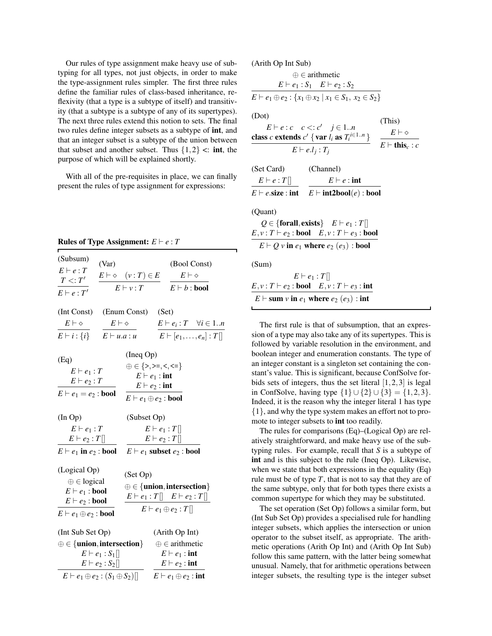Our rules of type assignment make heavy use of subtyping for all types, not just objects, in order to make the type-assignment rules simpler. The first three rules define the familiar rules of class-based inheritance, reflexivity (that a type is a subtype of itself) and transitivity (that a subtype is a subtype of any of its supertypes). The next three rules extend this notion to sets. The final two rules define integer subsets as a subtype of int, and that an integer subset is a subtype of the union between that subset and another subset. Thus  $\{1,2\} \leq \text{int}$ , the purpose of which will be explained shortly.

With all of the pre-requisites in place, we can finally present the rules of type assignment for expressions:

**Rules of Type Assignment:**  $E \vdash e : T$ 

| (Subsum)<br>(Var)<br>$E \vdash e : T$<br>T < T'<br>$E \vdash e : T'$                                                                                                 | $E \vdash \diamond$ $(v:T) \in E$<br>$E \vdash v : T$                                                                                           | (Bool Const)<br>$E\vdash\diamond$<br>$E \vdash b : \textbf{bool}$                                                                              |
|----------------------------------------------------------------------------------------------------------------------------------------------------------------------|-------------------------------------------------------------------------------------------------------------------------------------------------|------------------------------------------------------------------------------------------------------------------------------------------------|
| (Int Const) (Enum Const) (Set)<br>$E\vdash\diamond$<br>$E \vdash i : \{i\}$ $E \vdash u.a : u$                                                                       | $E\vdash\diamond$                                                                                                                               | $E \vdash e_i : T \quad \forall i \in 1n$<br>$E \vdash [e_1, \ldots, e_n] : T[]$                                                               |
| (Eq)<br>$E \vdash e_1 : T$<br>$E \vdash e_2 : T$<br>$E \vdash e_1 = e_2 : \textbf{bool}$                                                                             | (Ineq Op)<br>$\oplus \in \{>, \geq, \leq, \leq \}$<br>$E \vdash e_1$ : int<br>$E \vdash e_2$ : int<br>$E \vdash e_1 \oplus e_2 : \textbf{bool}$ |                                                                                                                                                |
| (InOp)<br>$E \vdash e_1 : T$<br>$E \vdash e_2 : T$<br>$E \vdash e_1$ in $e_2$ : bool $E \vdash e_1$ subset $e_2$ : bool                                              | (Subset Op)                                                                                                                                     | $E \vdash e_1 : T$<br>$E \vdash e_2 : T$                                                                                                       |
| (Logical Op)<br>$\oplus \in$ logical<br>$E \vdash e_1 : \textbf{bool}$<br>$E \vdash e_2 : \textbf{bool}$<br>$E \vdash e_1 \oplus e_2 : \textbf{bool}$                | (Set Op)                                                                                                                                        | $\oplus \in \{$ <b>union</b> , intersection $\}$<br>$E \vdash e_1 : T \parallel E \vdash e_2 : T \parallel$<br>$E \vdash e_1 \oplus e_2 : T$   |
| (Int Sub Set Op)<br>$\oplus \in \{$ <b>union</b> , intersection $\}$<br>$E \vdash e_1 : S_1$<br>$E \vdash e_2 : S_2$<br>$E \vdash e_1 \oplus e_2 : (S_1 \oplus S_2)$ |                                                                                                                                                 | (Arith Op Int)<br>$\oplus \in$ arithmetic<br>$E \vdash e_1$ : int<br>$E \vdash e_2 : \textbf{int}$<br>$E \vdash e_1 \oplus e_2 : \textbf{int}$ |

(Arith Op Int Sub)

| $(1 \text{ m})$ op the bab                                                                                                       |                       |
|----------------------------------------------------------------------------------------------------------------------------------|-----------------------|
| $\oplus \in$ arithmetic                                                                                                          |                       |
| $E \vdash e_1 : S_1 \quad E \vdash e_2 : S_2$                                                                                    |                       |
| $E \vdash e_1 \oplus e_2 : \{x_1 \oplus x_2 \mid x_1 \in S_1, x_2 \in S_2\}$                                                     |                       |
| (Dot)                                                                                                                            |                       |
| $E \vdash e : c \quad c \lt; : c' \quad j \in 1n$                                                                                | (This)                |
| class c extends $c'$ { var $l_i$ as $T_i^{i \in 1n}$ }                                                                           | $E\vdash \diamond$    |
| $E \vdash e.l_i : T_i$                                                                                                           | $E \vdash this_c : c$ |
| (Set Card)<br>(Channel)                                                                                                          |                       |
| $E \vdash e : T \parallel$<br>$E \vdash e : \textbf{int}$                                                                        |                       |
| $E \vdash e.\textsf{size}: \textsf{int}$ $E \vdash \textsf{int2bool}(e) : \textsf{bool}$                                         |                       |
| (Quant)                                                                                                                          |                       |
| Q $\in$ {forall, exists} $E \vdash e_1 : T$    <br>$E, v: T \vdash e_2 : \textbf{bool} \quad E, v: T \vdash e_3 : \textbf{bool}$ |                       |
| $E \vdash Q$ v in $e_1$ where $e_2$ $(e_3)$ : bool                                                                               |                       |
| (Sum)                                                                                                                            |                       |
| $E\vdash e_1 : T$                                                                                                                |                       |
| $E, v: T \vdash e_2 : \textbf{bool} \quad E, v: T \vdash e_3 : \textbf{int}$                                                     |                       |
| $E \vdash$ sum v in $e_1$ where $e_2$ $(e_3)$ : int                                                                              |                       |

The first rule is that of subsumption, that an expression of a type may also take any of its supertypes. This is followed by variable resolution in the environment, and boolean integer and enumeration constants. The type of an integer constant is a singleton set containing the constant's value. This is significant, because ConfSolve forbids sets of integers, thus the set literal  $[1,2,3]$  is legal in ConfSolve, having type  $\{1\} \cup \{2\} \cup \{3\} = \{1,2,3\}.$ Indeed, it is the reason why the integer literal 1 has type {1}, and why the type system makes an effort not to promote to integer subsets to int too readily.

The rules for comparisons (Eq)–(Logical Op) are relatively straightforward, and make heavy use of the subtyping rules. For example, recall that *S* is a subtype of int and is this subject to the rule (Ineq Op). Likewise, when we state that both expressions in the equality (Eq) rule must be of type *T*, that is not to say that they are of the same subtype, only that for both types there exists a common supertype for which they may be substituted.

The set operation (Set Op) follows a similar form, but (Int Sub Set Op) provides a specialised rule for handling integer subsets, which applies the intersection or union operator to the subset itself, as appropriate. The arithmetic operations (Arith Op Int) and (Arith Op Int Sub) follow this same pattern, with the latter being somewhat unusual. Namely, that for arithmetic operations between integer subsets, the resulting type is the integer subset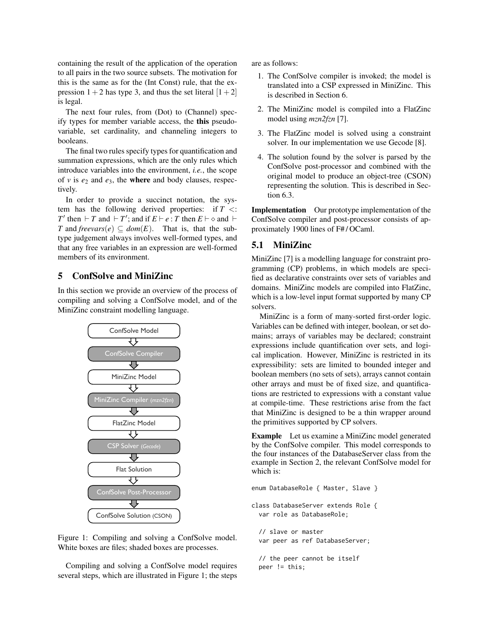containing the result of the application of the operation to all pairs in the two source subsets. The motivation for this is the same as for the (Int Const) rule, that the expression  $1+2$  has type 3, and thus the set literal  $[1+2]$ is legal.

The next four rules, from (Dot) to (Channel) specify types for member variable access, the this pseudovariable, set cardinality, and channeling integers to booleans.

The final two rules specify types for quantification and summation expressions, which are the only rules which introduce variables into the environment, *i.e.*, the scope of  $v$  is  $e_2$  and  $e_3$ , the **where** and body clauses, respectively.

In order to provide a succinct notation, the system has the following derived properties: if  $T \leq$ : *T*' then  $\vdash$  *T* and  $\vdash$  *T*'; and if  $E \vdash e : T$  then  $E \vdash \diamond$  and  $\vdash$ *T* and *freevars*( $e$ )  $\subseteq$  *dom*( $E$ ). That is, that the subtype judgement always involves well-formed types, and that any free variables in an expression are well-formed members of its environment.

## 5 ConfSolve and MiniZinc

In this section we provide an overview of the process of compiling and solving a ConfSolve model, and of the MiniZinc constraint modelling language.



<span id="page-7-0"></span>Figure 1: Compiling and solving a ConfSolve model. White boxes are files; shaded boxes are processes.

Compiling and solving a ConfSolve model requires several steps, which are illustrated in Figure [1;](#page-7-0) the steps are as follows:

- 1. The ConfSolve compiler is invoked; the model is translated into a CSP expressed in MiniZinc. This is described in Section [6.](#page-8-0)
- 2. The MiniZinc model is compiled into a FlatZinc model using *mzn2fzn* [\[7\]](#page-15-4).
- 3. The FlatZinc model is solved using a constraint solver. In our implementation we use Gecode [\[8\]](#page-15-5).
- 4. The solution found by the solver is parsed by the ConfSolve post-processor and combined with the original model to produce an object-tree (CSON) representing the solution. This is described in Section [6.3.](#page-12-0)

Implementation Our prototype implementation of the ConfSolve compiler and post-processor consists of approximately 1900 lines of F# / OCaml.

## 5.1 MiniZinc

MiniZinc [\[7\]](#page-15-4) is a modelling language for constraint programming (CP) problems, in which models are specified as declarative constraints over sets of variables and domains. MiniZinc models are compiled into FlatZinc, which is a low-level input format supported by many CP solvers.

MiniZinc is a form of many-sorted first-order logic. Variables can be defined with integer, boolean, or set domains; arrays of variables may be declared; constraint expressions include quantification over sets, and logical implication. However, MiniZinc is restricted in its expressibility: sets are limited to bounded integer and boolean members (no sets of sets), arrays cannot contain other arrays and must be of fixed size, and quantifications are restricted to expressions with a constant value at compile-time. These restrictions arise from the fact that MiniZinc is designed to be a thin wrapper around the primitives supported by CP solvers.

Example Let us examine a MiniZinc model generated by the ConfSolve compiler. This model corresponds to the four instances of the DatabaseServer class from the example in Section [2,](#page-1-0) the relevant ConfSolve model for which is:

```
enum DatabaseRole { Master, Slave }
class DatabaseServer extends Role {
  var role as DatabaseRole;
  // slave or master
  var peer as ref DatabaseServer;
```
// the peer cannot be itself peer != this;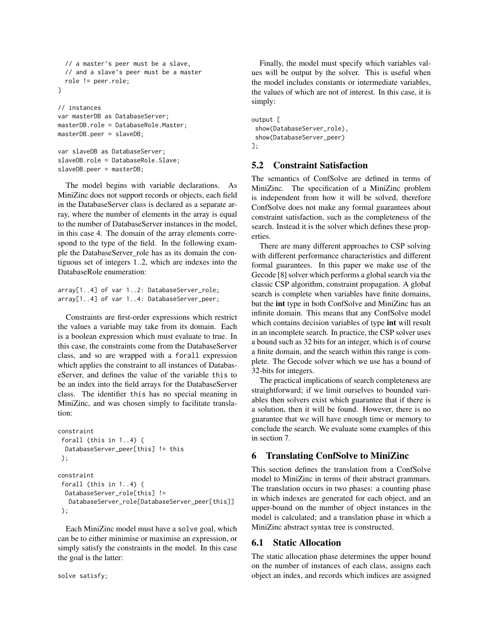```
// a master's peer must be a slave,
  // and a slave's peer must be a master
 role != peer.role;
}
// instances
```

```
var masterDB as DatabaseServer;
masterDB.role = DatabaseRole.Master;
masterDB.peer = slaveDB;
```

```
var slaveDB as DatabaseServer;
slaveDB.role = DatabaseRole.Slave;
slaveDB.peer = masterDB;
```
The model begins with variable declarations. As MiniZinc does not support records or objects, each field in the DatabaseServer class is declared as a separate array, where the number of elements in the array is equal to the number of DatabaseServer instances in the model, in this case 4. The domain of the array elements correspond to the type of the field. In the following example the DatabaseServer\_role has as its domain the contiguous set of integers 1..2, which are indexes into the DatabaseRole enumeration:

```
array[1..4] of var 1..2: DatabaseServer_role;
array[1..4] of var 1..4: DatabaseServer_peer;
```
Constraints are first-order expressions which restrict the values a variable may take from its domain. Each is a boolean expression which must evaluate to true. In this case, the constraints come from the DatabaseServer class, and so are wrapped with a forall expression which applies the constraint to all instances of DatabaseServer, and defines the value of the variable this to be an index into the field arrays for the DatabaseServer class. The identifier this has no special meaning in MiniZinc, and was chosen simply to facilitate translation:

```
constraint
forall (this in 1..4) (
 DatabaseServer_peer[this] != this
);
```

```
constraint
forall (this in 1..4) (
 DatabaseServer_role[this] !=
  DatabaseServer_role[DatabaseServer_peer[this]]
);
```
Each MiniZinc model must have a solve goal, which can be to either minimise or maximise an expression, or simply satisfy the constraints in the model. In this case the goal is the latter:

Finally, the model must specify which variables values will be output by the solver. This is useful when the model includes constants or intermediate variables, the values of which are not of interest. In this case, it is simply:

```
output [
show(DatabaseServer_role),
 show(DatabaseServer_peer)
];
```
## 5.2 Constraint Satisfaction

The semantics of ConfSolve are defined in terms of MiniZinc. The specification of a MiniZinc problem is independent from how it will be solved, therefore ConfSolve does not make any formal guarantees about constraint satisfaction, such as the completeness of the search. Instead it is the solver which defines these properties.

There are many different approaches to CSP solving with different performance characteristics and different formal guarantees. In this paper we make use of the Gecode [\[8\]](#page-15-5) solver which performs a global search via the classic CSP algorithm, constraint propagation. A global search is complete when variables have finite domains, but the int type in both ConfSolve and MiniZinc has an infinite domain. This means that any ConfSolve model which contains decision variables of type int will result in an incomplete search. In practice, the CSP solver uses a bound such as 32 bits for an integer, which is of course a finite domain, and the search within this range is complete. The Gecode solver which we use has a bound of 32-bits for integers.

The practical implications of search completeness are straightforward; if we limit ourselves to bounded variables then solvers exist which guarantee that if there is a solution, then it will be found. However, there is no guarantee that we will have enough time or memory to conclude the search. We evaluate some examples of this in section [7.](#page-12-1)

## <span id="page-8-0"></span>6 Translating ConfSolve to MiniZinc

This section defines the translation from a ConfSolve model to MiniZinc in terms of their abstract grammars. The translation occurs in two phases: a counting phase in which indexes are generated for each object, and an upper-bound on the number of object instances in the model is calculated; and a translation phase in which a MiniZinc abstract syntax tree is constructed.

## 6.1 Static Allocation

The static allocation phase determines the upper bound on the number of instances of each class, assigns each object an index, and records which indices are assigned

```
solve satisfy;
```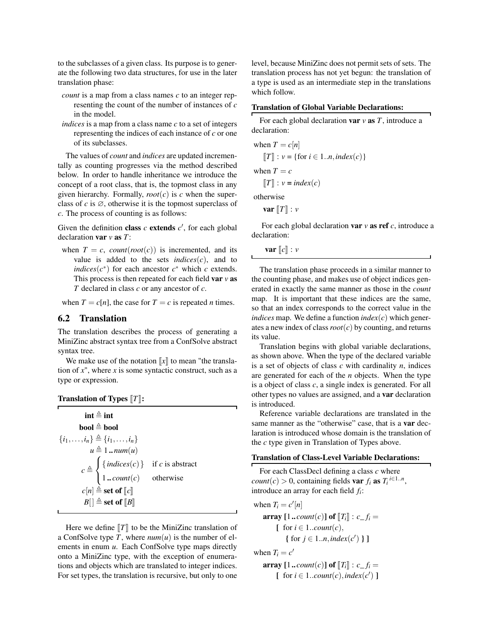to the subclasses of a given class. Its purpose is to generate the following two data structures, for use in the later translation phase:

- *count* is a map from a class names *c* to an integer representing the count of the number of instances of *c* in the model.
- *indices* is a map from a class name *c* to a set of integers representing the indices of each instance of *c* or one of its subclasses.

The values of *count* and *indices* are updated incrementally as counting progresses via the method described below. In order to handle inheritance we introduce the concept of a root class, that is, the topmost class in any given hierarchy. Formally,  $root(c)$  is  $c$  when the superclass of  $c$  is  $\varnothing$ , otherwise it is the topmost superclass of *c*. The process of counting is as follows:

Given the definition class  $c$  extends  $c'$ , for each global declaration var *v* as *T*:

when  $T = c$ , *count*(*root*(*c*)) is incremented, and its value is added to the sets *indices* $(c)$ , and to *indices*( $c^*$ ) for each ancestor  $c^*$  which  $c$  extends. This process is then repeated for each field var *v* as *T* declared in class *c* or any ancestor of *c*.

when  $T = c[n]$ , the case for  $T = c$  is repeated *n* times.

## 6.2 Translation

The translation describes the process of generating a MiniZinc abstract syntax tree from a ConfSolve abstract syntax tree.

We make use of the notation  $\llbracket x \rrbracket$  to mean "the translation of  $x$ ", where  $x$  is some syntactic construct, such as a type or expression.

| <b>Translation of Types <math>[T]</math>:</b> |  |  |
|-----------------------------------------------|--|--|
|                                               |  |  |

| int $\triangleq$ int.                                                                                                               |  |
|-------------------------------------------------------------------------------------------------------------------------------------|--|
| bool $\triangleq$ bool                                                                                                              |  |
| $\{i_1, \ldots, i_n\} \triangleq \{i_1, \ldots, i_n\}$                                                                              |  |
| $u \triangleq 1$ $num(u)$                                                                                                           |  |
| $c \triangleq \begin{cases} \{ indices(c) \} & \text{if } c \text{ is abstract} \\ 1 \dots count(c) & \text{otherwise} \end{cases}$ |  |
|                                                                                                                                     |  |
| $c[n] \triangleq$ set of $\llbracket c \rrbracket$                                                                                  |  |
| $B[\ ] \triangleq$ set of $[[B]]$                                                                                                   |  |
|                                                                                                                                     |  |

Here we define  $\llbracket T \rrbracket$  to be the MiniZinc translation of a ConfSolve type *T*, where  $num(u)$  is the number of elements in enum *u*. Each ConfSolve type maps directly onto a MiniZinc type, with the exception of enumerations and objects which are translated to integer indices. For set types, the translation is recursive, but only to one level, because MiniZinc does not permit sets of sets. The translation process has not yet begun: the translation of a type is used as an intermediate step in the translations which follow.

### Translation of Global Variable Declarations:

For each global declaration var *v* as *T*, introduce a declaration:

when  $T = c[n]$  $T : v = \{ \text{for } i \in 1..n, index(c) \}$ when  $T = c$  $\llbracket T \rrbracket$  :  $v = index(c)$ otherwise

var  $T$  : *v* 

For each global declaration var *v* as ref *c*, introduce a declaration:

**var**  $\|c\|$  : *v* 

The translation phase proceeds in a similar manner to the counting phase, and makes use of object indices generated in exactly the same manner as those in the *count* map. It is important that these indices are the same, so that an index corresponds to the correct value in the *indices* map. We define a function  $index(c)$  which generates a new index of class*root*(*c*) by counting, and returns its value.

Translation begins with global variable declarations, as shown above. When the type of the declared variable is a set of objects of class *c* with cardinality *n*, indices are generated for each of the *n* objects. When the type is a object of class *c*, a single index is generated. For all other types no values are assigned, and a var declaration is introduced.

Reference variable declarations are translated in the same manner as the "otherwise" case, that is a **var** declaration is introduced whose domain is the translation of the *c* type given in Translation of Types above.

#### Translation of Class-Level Variable Declarations:

For each ClassDecl defining a class *c* where  $count(c) > 0$ , containing fields var  $f_i$  as  $T_i$ <sup>*i*∈1..*n*</sup>, introduce an array for each field *f<sup>i</sup>* :

when  $T_i = c'[n]$ **array**  $[1 \cdot \text{count}(c)]$  of  $[T_i]$  :  $c_f = f_i =$  $\lceil$  for  $i \in 1..count(c)$ , { for  $j \in 1..n$ *, index*(*c*<sup>'</sup>) } ]

when  $T_i = c'$ 

array  $[1 \cdot \text{count}(c)]$  of  $[T_i] : c_f =$  $\left[$  for  $i \in 1$ ..*count*(*c*), *index*(*c*<sup>'</sup>) ]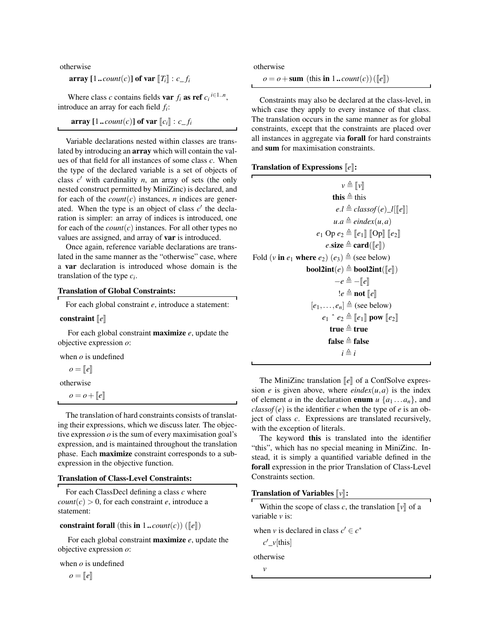otherwise

array  $[1 \dots$ *count* $(c)$ **] of var**  $[T_i]$  :  $c$ <sup>*fi*</sup>

Where class *c* contains fields **var**  $f_i$  **as ref**  $c_i$ <sup>*i*∈1..*n*</sup>, introduce an array for each field *f<sup>i</sup>* :

$$
\mathbf{array} \ [1..\textit{count}(c)] \ \mathbf{of} \ \mathbf{var} \ [c_i] \ \colon c\_f_i
$$

Variable declarations nested within classes are translated by introducing an array which will contain the values of that field for all instances of some class *c*. When the type of the declared variable is a set of objects of class  $c'$  with cardinality  $n$ , an array of sets (the only nested construct permitted by MiniZinc) is declared, and for each of the  $count(c)$  instances, *n* indices are generated. When the type is an object of class  $c'$  the declaration is simpler: an array of indices is introduced, one for each of the *count*(*c*) instances. For all other types no values are assigned, and array of var is introduced.

Once again, reference variable declarations are translated in the same manner as the "otherwise" case, where a var declaration is introduced whose domain is the translation of the type *c<sup>i</sup>* .

### Translation of Global Constraints:

For each global constraint *e*, introduce a statement:

#### constraint  $\|e\|$

For each global constraint maximize *e*, update the objective expression *o*:

when *o* is undefined

$$
o = [e]
$$

otherwise

 $o = o + ||e||$ 

The translation of hard constraints consists of translating their expressions, which we discuss later. The objective expression *o* is the sum of every maximisation goal's expression, and is maintained throughout the translation phase. Each maximize constraint corresponds to a subexpression in the objective function.

#### Translation of Class-Level Constraints:

For each ClassDecl defining a class *c* where  $count(c) > 0$ , for each constraint *e*, introduce a statement:

### constraint forall (this in  $1$ ...*count*(*c*)) ( $\llbracket e \rrbracket$ )

For each global constraint maximize *e*, update the objective expression *o*:

when *o* is undefined

 $\rho = [e]$ 

otherwise

 $o = o + \text{sum (this in 1..} count(c)) ([e])$ 

Constraints may also be declared at the class-level, in which case they apply to every instance of that class. The translation occurs in the same manner as for global constraints, except that the constraints are placed over all instances in aggregate via forall for hard constraints and sum for maximisation constraints.

#### Translation of Expressions  $\llbracket e \rrbracket$ :

| $v \triangleq \llbracket v \rrbracket$                                         |
|--------------------------------------------------------------------------------|
| this $\triangleq$ this                                                         |
| $e.l \triangleq classof(e) \_l[[e]]$                                           |
| $u.a \triangleq eindex(u,a)$                                                   |
| $e_1$ Op $e_2 \triangleq [e_1]$ [Op] $[e_2]$                                   |
| e.size $\triangleq$ card([e])                                                  |
| Fold (v in $e_1$ where $e_2$ ) $(e_3) \triangleq$ (see below)                  |
| <b>bool2int</b> (e) $\triangleq$ <b>bool2int</b> ( $\llbracket e \rrbracket$ ) |
| $-e \triangleq -\llbracket e \rrbracket$                                       |
| $!e \triangleq \textbf{not}$ $\llbracket e \rrbracket$                         |
| $[e_1, \ldots, e_n] \triangleq$ (see below)                                    |
| $e_1$ $e_2 \triangleq [e_1]$ pow $[e_2]$                                       |
| true $\triangleq$ true                                                         |
| false $\triangleq$ false                                                       |
| $i \triangleq i$                                                               |

The MiniZinc translation  $\llbracket e \rrbracket$  of a ConfSolve expression *e* is given above, where *eindex* $(u, a)$  is the index of element *a* in the declaration **enum**  $u \{a_1 \dots a_n\}$ , and  $\text{classof}(e)$  is the identifier *c* when the type of *e* is an object of class *c*. Expressions are translated recursively, with the exception of literals.

The keyword this is translated into the identifier "this", which has no special meaning in MiniZinc. Instead, it is simply a quantified variable defined in the forall expression in the prior Translation of Class-Level Constraints section.

#### **Translation of Variables**  $\llbracket v \rrbracket$ **:**

| Within the scope of class c, the translation $\llbracket v \rrbracket$ of a<br>variable v is: |  |
|-----------------------------------------------------------------------------------------------|--|
| when v is declared in class $c' \in c^*$                                                      |  |
| $c'$ <sub>_<math>\nu</math></sub> [this]                                                      |  |
| otherwise                                                                                     |  |
|                                                                                               |  |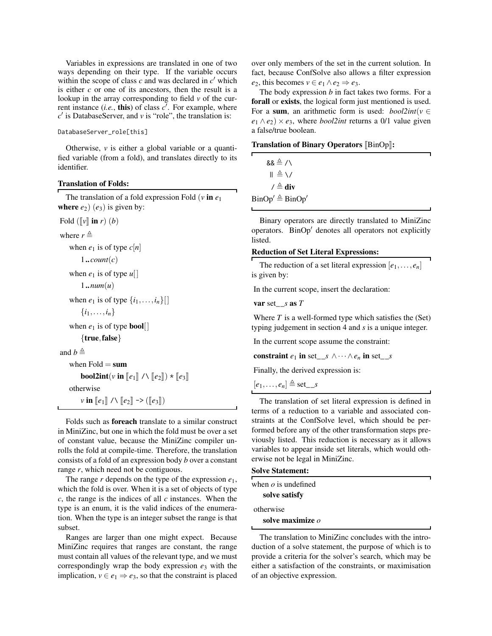Variables in expressions are translated in one of two ways depending on their type. If the variable occurs within the scope of class  $c$  and was declared in  $c'$  which is either *c* or one of its ancestors, then the result is a lookup in the array corresponding to field *v* of the current instance  $(i.e., this)$  of class  $c'$ . For example, where  $c'$  is DatabaseServer, and  $v$  is "role", the translation is:

### DatabaseServer\_role[this]

Otherwise, *v* is either a global variable or a quantified variable (from a fold), and translates directly to its identifier.

### Translation of Folds:

The translation of a fold expression Fold  $(v \text{ in } e_1)$ where  $e_2$ )  $(e_3)$  is given by:

```
Fold (\Vert v \Vert \mathbf{in} \, r) (b)
```

```
where r \triangleq
```

```
when e_1 is of type c[n]
```

```
1..count(c)
```
when  $e_1$  is of type  $u$ []

```
1..num(u)
```

```
when e_1 is of type \{i_1, \ldots, i_n\}[]
```

```
\{i_1, \ldots, i_n\}
```

```
when e_1 is of type bool[]
```

```
{true, false}
```

```
and b \triangleq
```

```
when Fold = sumbool2int(v in \llbracket e_1 \rrbracket / \sqrt{\llbracket e_2 \rrbracket} \times \llbracket e_3 \rrbracketotherwise
      v in [e_1] \wedge [e_2] \rightarrow ([e_3])
```
Folds such as foreach translate to a similar construct in MiniZinc, but one in which the fold must be over a set of constant value, because the MiniZinc compiler unrolls the fold at compile-time. Therefore, the translation consists of a fold of an expression body *b* over a constant range *r*, which need not be contiguous.

The range *r* depends on the type of the expression *e*1, which the fold is over. When it is a set of objects of type *c*, the range is the indices of all *c* instances. When the type is an enum, it is the valid indices of the enumeration. When the type is an integer subset the range is that subset.

Ranges are larger than one might expect. Because MiniZinc requires that ranges are constant, the range must contain all values of the relevant type, and we must correspondingly wrap the body expression *e*<sup>3</sup> with the implication,  $v \in e_1 \Rightarrow e_3$ , so that the constraint is placed over only members of the set in the current solution. In fact, because ConfSolve also allows a filter expression *e*<sub>2</sub>, this becomes *v* ∈ *e*<sub>1</sub> ∧ *e*<sub>2</sub>  $\Rightarrow$  *e*<sub>3</sub>.

The body expression *b* in fact takes two forms. For a forall or exists, the logical form just mentioned is used. For a sum, an arithmetic form is used:  $bool2int(v \in$  $e_1 \wedge e_2$  ×  $e_3$ , where *bool2int* returns a 0/1 value given a false/true boolean.

| <b>Translation of Binary Operators [BinOp]:</b> |  |  |
|-------------------------------------------------|--|--|
|                                                 |  |  |

| && ≜ /∖                                  |
|------------------------------------------|
| $\Vert \triangleq \setminus$             |
| / $\triangleq$ div                       |
| $\text{BinOp}' \triangleq \text{BinOp}'$ |

Binary operators are directly translated to MiniZinc operators. BinOp' denotes all operators not explicitly listed.

## Reduction of Set Literal Expressions:

The reduction of a set literal expression  $[e_1, \ldots, e_n]$ is given by:

In the current scope, insert the declaration:

var set\_\_*s* as *T*

Where  $T$  is a well-formed type which satisfies the  $(Set)$ typing judgement in section [4](#page-5-0) and *s* is a unique integer.

In the current scope assume the constraint:

constraint  $e_1$  in set\_*s* ∧···∧ $e_n$  in set\_*s* 

Finally, the derived expression is:

```
[e_1, \ldots, e_n] \triangleq \text{set\_s}
```
The translation of set literal expression is defined in terms of a reduction to a variable and associated constraints at the ConfSolve level, which should be performed before any of the other transformation steps previously listed. This reduction is necessary as it allows variables to appear inside set literals, which would otherwise not be legal in MiniZinc.

```
Solve Statement:
```

| when $\rho$ is undefined |  |
|--------------------------|--|
| solve satisfy            |  |
| otherwise                |  |
| solve maximize $o$       |  |

The translation to MiniZinc concludes with the introduction of a solve statement, the purpose of which is to provide a criteria for the solver's search, which may be either a satisfaction of the constraints, or maximisation of an objective expression.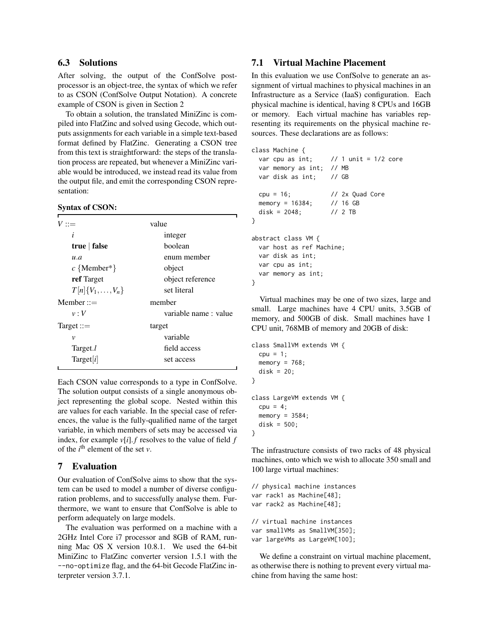## <span id="page-12-0"></span>6.3 Solutions

After solving, the output of the ConfSolve postprocessor is an object-tree, the syntax of which we refer to as CSON (ConfSolve Output Notation). A concrete example of CSON is given in Section [2](#page-1-0)

To obtain a solution, the translated MiniZinc is compiled into FlatZinc and solved using Gecode, which outputs assignments for each variable in a simple text-based format defined by FlatZinc. Generating a CSON tree from this text is straightforward: the steps of the translation process are repeated, but whenever a MiniZinc variable would be introduced, we instead read its value from the output file, and emit the corresponding CSON representation:

#### Syntax of CSON:

| $V ::=$                  | value                |
|--------------------------|----------------------|
| i                        | integer              |
| true   false             | boolean              |
| u.a                      | enum member          |
| $c \{ Member*\}$         | object               |
| ref Target               | object reference     |
| $T[n]\{V_1,\ldots,V_n\}$ | set literal          |
| $M$ ember ::=            | member               |
| v:V                      | variable name: value |
| $Target ::=$             | target               |
| ν                        | variable             |
| Target.l                 | field access         |
| Target[i]                | set access           |
|                          |                      |

Each CSON value corresponds to a type in ConfSolve. The solution output consists of a single anonymous object representing the global scope. Nested within this are values for each variable. In the special case of references, the value is the fully-qualified name of the target variable, in which members of sets may be accessed via index, for example  $v[i]$ . *f* resolves to the value of field *f* of the  $i^{\text{th}}$  element of the set  $v$ .

### <span id="page-12-1"></span>7 Evaluation

Our evaluation of ConfSolve aims to show that the system can be used to model a number of diverse configuration problems, and to successfully analyse them. Furthermore, we want to ensure that ConfSolve is able to perform adequately on large models.

The evaluation was performed on a machine with a 2GHz Intel Core i7 processor and 8GB of RAM, running Mac OS X version 10.8.1. We used the 64-bit MiniZinc to FlatZinc converter version 1.5.1 with the --no-optimize flag, and the 64-bit Gecode FlatZinc interpreter version 3.7.1.

## <span id="page-12-2"></span>7.1 Virtual Machine Placement

In this evaluation we use ConfSolve to generate an assignment of virtual machines to physical machines in an Infrastructure as a Service (IaaS) configuration. Each physical machine is identical, having 8 CPUs and 16GB or memory. Each virtual machine has variables representing its requirements on the physical machine resources. These declarations are as follows:

```
class Machine {
 var cpu as int; \frac{1}{1} unit = 1/2 core
  var memory as int; // MB
  var disk as int; // GB
  cpu = 16; // 2x Quad Core
 memory = 16384; // 16 GB
  disk = 2048; // 2 TB
}
abstract class VM {
 var host as ref Machine;
 var disk as int;
 var cpu as int;
 var memory as int;
}
```
Virtual machines may be one of two sizes, large and small. Large machines have 4 CPU units, 3.5GB of memory, and 500GB of disk. Small machines have 1 CPU unit, 768MB of memory and 20GB of disk:

```
class SmallVM extends VM {
  cpu = 1;memory = 768;disk = 20;}
class LargeVM extends VM {
  cpu = 4;memory = 3584;
  disk = 500;
}
```
The infrastructure consists of two racks of 48 physical machines, onto which we wish to allocate 350 small and 100 large virtual machines:

```
// physical machine instances
var rack1 as Machine[48];
var rack2 as Machine[48];
// virtual machine instances
var smallVMs as SmallVM[350];
var largeVMs as LargeVM[100];
```
We define a constraint on virtual machine placement, as otherwise there is nothing to prevent every virtual machine from having the same host: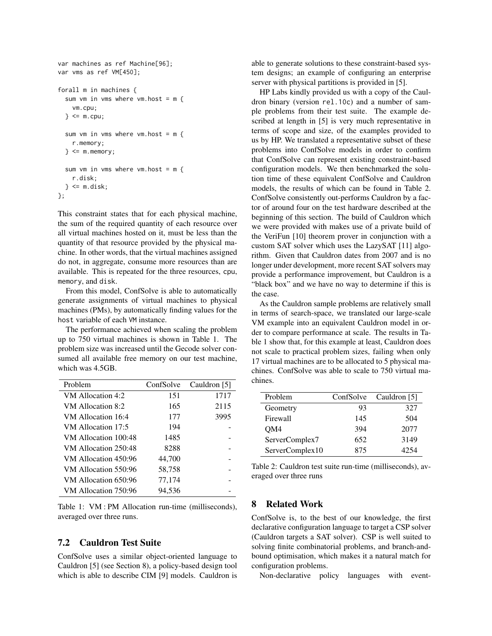```
var machines as ref Machine[96];
var vms as ref VM[450];
forall m in machines {
  sum vm in vms where vm.host = m {
    vm.cpu;
  \} <= m.cpu;sum vm in vms where vm.host = m {
    r.memory;
  \} <= m.memory;
  sum vm in vms where vm.host = m {
    r.disk;
 \} <= m.disk;};
```
This constraint states that for each physical machine, the sum of the required quantity of each resource over all virtual machines hosted on it, must be less than the quantity of that resource provided by the physical machine. In other words, that the virtual machines assigned do not, in aggregate, consume more resources than are available. This is repeated for the three resources, cpu, memory, and disk.

From this model, ConfSolve is able to automatically generate assignments of virtual machines to physical machines (PMs), by automatically finding values for the host variable of each VM instance.

The performance achieved when scaling the problem up to 750 virtual machines is shown in Table [1.](#page-13-0) The problem size was increased until the Gecode solver consumed all available free memory on our test machine, which was 4.5GB.

| Problem              | ConfSolve | Cauldron [5] |
|----------------------|-----------|--------------|
| VM Allocation 4:2    | 151       | 1717         |
| VM Allocation 8:2    | 165       | 2115         |
| VM Allocation 16:4   | 177       | 3995         |
| VM Allocation 17:5   | 194       |              |
| VM Allocation 100:48 | 1485      |              |
| VM Allocation 250:48 | 8288      |              |
| VM Allocation 450:96 | 44,700    |              |
| VM Allocation 550:96 | 58,758    |              |
| VM Allocation 650:96 | 77,174    |              |
| VM Allocation 750:96 | 94,536    |              |

<span id="page-13-0"></span>Table 1: VM : PM Allocation run-time (milliseconds), averaged over three runs.

## 7.2 Cauldron Test Suite

ConfSolve uses a similar object-oriented language to Cauldron [\[5\]](#page-15-2) (see Section [8\)](#page-13-1), a policy-based design tool which is able to describe CIM [\[9\]](#page-15-6) models. Cauldron is able to generate solutions to these constraint-based system designs; an example of configuring an enterprise server with physical partitions is provided in [\[5\]](#page-15-2).

HP Labs kindly provided us with a copy of the Cauldron binary (version rel.10c) and a number of sample problems from their test suite. The example described at length in [\[5\]](#page-15-2) is very much representative in terms of scope and size, of the examples provided to us by HP. We translated a representative subset of these problems into ConfSolve models in order to confirm that ConfSolve can represent existing constraint-based configuration models. We then benchmarked the solution time of these equivalent ConfSolve and Cauldron models, the results of which can be found in Table [2.](#page-13-2) ConfSolve consistently out-performs Cauldron by a factor of around four on the test hardware described at the beginning of this section. The build of Cauldron which we were provided with makes use of a private build of the VeriFun [\[10\]](#page-15-7) theorem prover in conjunction with a custom SAT solver which uses the LazySAT [\[11\]](#page-15-8) algorithm. Given that Cauldron dates from 2007 and is no longer under development, more recent SAT solvers may provide a performance improvement, but Cauldron is a "black box" and we have no way to determine if this is the case.

As the Cauldron sample problems are relatively small in terms of search-space, we translated our large-scale VM example into an equivalent Cauldron model in order to compare performance at scale. The results in Table [1](#page-13-0) show that, for this example at least, Cauldron does not scale to practical problem sizes, failing when only 17 virtual machines are to be allocated to 5 physical machines. ConfSolve was able to scale to 750 virtual machines.

| Problem         | ConfSolve | Cauldron [5] |
|-----------------|-----------|--------------|
| Geometry        | 93        | 327          |
| Firewall        | 145       | 504          |
| OM4             | 394       | 2077         |
| ServerComplex7  | 652       | 3149         |
| ServerComplex10 | 875       | 4754         |

<span id="page-13-2"></span>Table 2: Cauldron test suite run-time (milliseconds), averaged over three runs

### <span id="page-13-1"></span>8 Related Work

ConfSolve is, to the best of our knowledge, the first declarative configuration language to target a CSP solver (Cauldron targets a SAT solver). CSP is well suited to solving finite combinatorial problems, and branch-andbound optimisation, which makes it a natural match for configuration problems.

Non-declarative policy languages with event-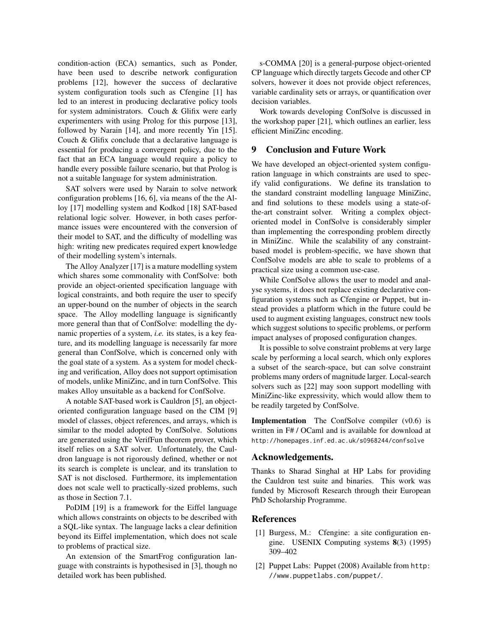condition-action (ECA) semantics, such as Ponder, have been used to describe network configuration problems [\[12\]](#page-15-9), however the success of declarative system configuration tools such as Cfengine [\[1\]](#page-14-0) has led to an interest in producing declarative policy tools for system administrators. Couch & Glifix were early experimenters with using Prolog for this purpose [\[13\]](#page-15-10), followed by Narain [\[14\]](#page-15-11), and more recently Yin [\[15\]](#page-15-12). Couch & Glifix conclude that a declarative language is essential for producing a convergent policy, due to the fact that an ECA language would require a policy to handle every possible failure scenario, but that Prolog is not a suitable language for system administration.

SAT solvers were used by Narain to solve network configuration problems [\[16,](#page-15-13) [6\]](#page-15-3), via means of the the Alloy [\[17\]](#page-15-14) modelling system and Kodkod [\[18\]](#page-15-15) SAT-based relational logic solver. However, in both cases performance issues were encountered with the conversion of their model to SAT, and the difficulty of modelling was high: writing new predicates required expert knowledge of their modelling system's internals.

The Alloy Analyzer [\[17\]](#page-15-14) is a mature modelling system which shares some commonality with ConfSolve: both provide an object-oriented specification language with logical constraints, and both require the user to specify an upper-bound on the number of objects in the search space. The Alloy modelling language is significantly more general than that of ConfSolve: modelling the dynamic properties of a system, *i.e.* its states, is a key feature, and its modelling language is necessarily far more general than ConfSolve, which is concerned only with the goal state of a system. As a system for model checking and verification, Alloy does not support optimisation of models, unlike MiniZinc, and in turn ConfSolve. This makes Alloy unsuitable as a backend for ConfSolve.

A notable SAT-based work is Cauldron [\[5\]](#page-15-2), an objectoriented configuration language based on the CIM [\[9\]](#page-15-6) model of classes, object references, and arrays, which is similar to the model adopted by ConfSolve. Solutions are generated using the VerifFun theorem prover, which itself relies on a SAT solver. Unfortunately, the Cauldron language is not rigorously defined, whether or not its search is complete is unclear, and its translation to SAT is not disclosed. Furthermore, its implementation does not scale well to practically-sized problems, such as those in Section [7.1.](#page-12-2)

PoDIM [\[19\]](#page-15-16) is a framework for the Eiffel language which allows constraints on objects to be described with a SQL-like syntax. The language lacks a clear definition beyond its Eiffel implementation, which does not scale to problems of practical size.

An extension of the SmartFrog configuration language with constraints is hypothesised in [\[3\]](#page-15-0), though no detailed work has been published.

s-COMMA [\[20\]](#page-15-17) is a general-purpose object-oriented CP language which directly targets Gecode and other CP solvers, however it does not provide object references, variable cardinality sets or arrays, or quantification over decision variables.

Work towards developing ConfSolve is discussed in the workshop paper [\[21\]](#page-15-18), which outlines an earlier, less efficient MiniZinc encoding.

### 9 Conclusion and Future Work

We have developed an object-oriented system configuration language in which constraints are used to specify valid configurations. We define its translation to the standard constraint modelling language MiniZinc, and find solutions to these models using a state-ofthe-art constraint solver. Writing a complex objectoriented model in ConfSolve is considerably simpler than implementing the corresponding problem directly in MiniZinc. While the scalability of any constraintbased model is problem-specific, we have shown that ConfSolve models are able to scale to problems of a practical size using a common use-case.

While ConfSolve allows the user to model and analyse systems, it does not replace existing declarative configuration systems such as Cfengine or Puppet, but instead provides a platform which in the future could be used to augment existing languages, construct new tools which suggest solutions to specific problems, or perform impact analyses of proposed configuration changes.

It is possible to solve constraint problems at very large scale by performing a local search, which only explores a subset of the search-space, but can solve constraint problems many orders of magnitude larger. Local-search solvers such as [\[22\]](#page-15-19) may soon support modelling with MiniZinc-like expressivity, which would allow them to be readily targeted by ConfSolve.

Implementation The ConfSolve compiler (v0.6) is written in F# / OCaml and is available for download at <http://homepages.inf.ed.ac.uk/s0968244/confsolve>

### Acknowledgements.

Thanks to Sharad Singhal at HP Labs for providing the Cauldron test suite and binaries. This work was funded by Microsoft Research through their European PhD Scholarship Programme.

### References

- <span id="page-14-0"></span>[1] Burgess, M.: Cfengine: a site configuration engine. USENIX Computing systems 8(3) (1995) 309–402
- <span id="page-14-1"></span>[2] Puppet Labs: Puppet (2008) Available from [http:](http://www.puppetlabs.com/puppet/) [//www.puppetlabs.com/puppet/](http://www.puppetlabs.com/puppet/).